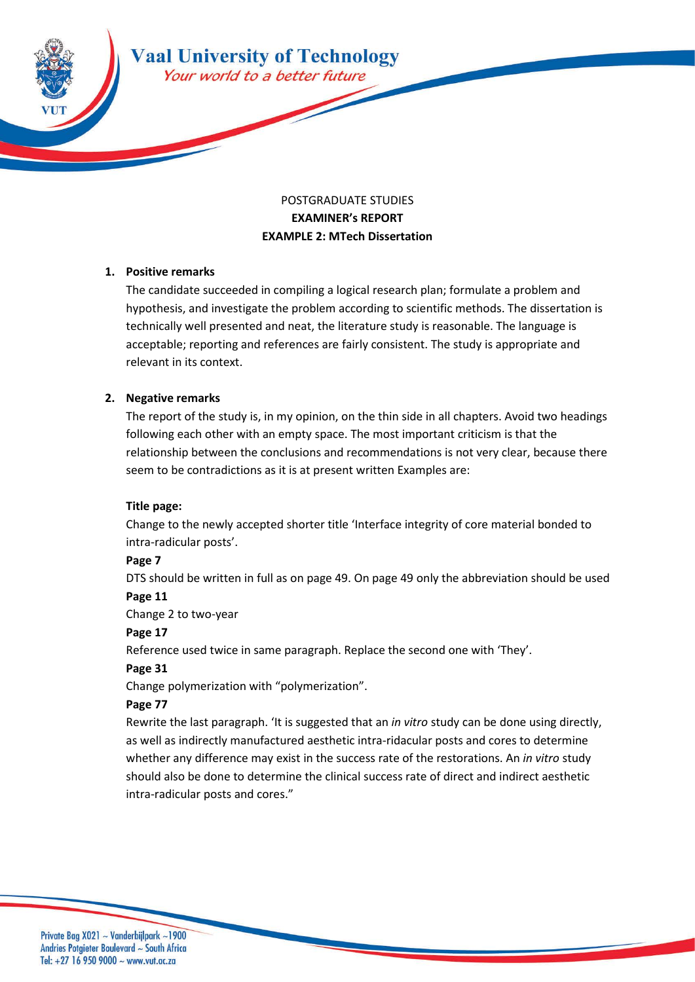

# POSTGRADUATE STUDIES **EXAMINER's REPORT EXAMPLE 2: MTech Dissertation**

### **1. Positive remarks**

The candidate succeeded in compiling a logical research plan; formulate a problem and hypothesis, and investigate the problem according to scientific methods. The dissertation is technically well presented and neat, the literature study is reasonable. The language is acceptable; reporting and references are fairly consistent. The study is appropriate and relevant in its context.

### **2. Negative remarks**

The report of the study is, in my opinion, on the thin side in all chapters. Avoid two headings following each other with an empty space. The most important criticism is that the relationship between the conclusions and recommendations is not very clear, because there seem to be contradictions as it is at present written Examples are:

#### **Title page:**

Change to the newly accepted shorter title 'Interface integrity of core material bonded to intra-radicular posts'.

#### **Page 7**

DTS should be written in full as on page 49. On page 49 only the abbreviation should be used

#### **Page 11**

Change 2 to two-year

#### **Page 17**

Reference used twice in same paragraph. Replace the second one with 'They'.

# **Page 31**

Change polymerization with "polymerization".

# **Page 77**

Rewrite the last paragraph. 'It is suggested that an *in vitro* study can be done using directly, as well as indirectly manufactured aesthetic intra-ridacular posts and cores to determine whether any difference may exist in the success rate of the restorations. An *in vitro* study should also be done to determine the clinical success rate of direct and indirect aesthetic intra-radicular posts and cores."

Private Bag X021 ~ Vanderbijlpark ~1900 Andries Potgieter Boulevard ~ South Africa Tel: +27 16 950 9000  $\sim$  www.vut.ac.za